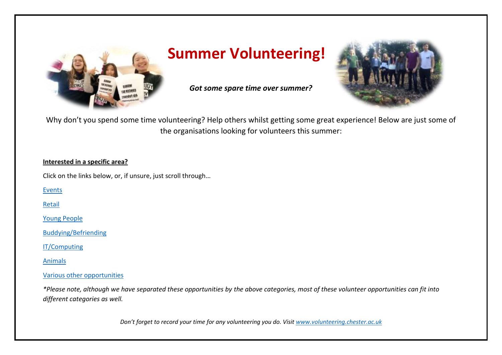

## **Summer Volunteering!**

*Got some spare time over summer?* 



Why don't you spend some time volunteering? Help others whilst getting some great experience! Below are just some of the organisations looking for volunteers this summer:

#### **Interested in a specific area?**

Click on the links below, or, if unsure, just scroll through…

[Events](#page-1-0)

[Retail](#page-11-0)

[Young People](#page-14-0)

[Buddying/Befriending](#page-15-0)

[IT/Computing](#page-17-0)

[Animals](#page-19-0)

#### [Various other opportunities](#page-21-0)

*\*Please note, although we have separated these opportunities by the above categories, most of these volunteer opportunities can fit into different categories as well.*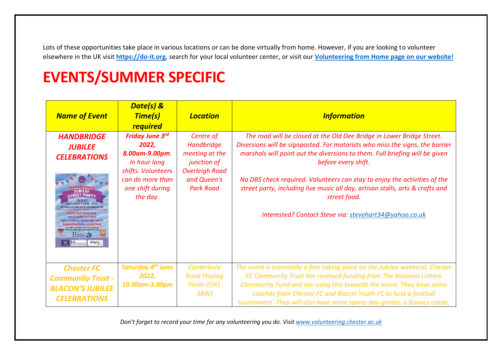Lots of these opportunities take place in various locations or can be done virtually from home. However, if you are looking to volunteer elsewhere in the UK visit **[https://do-it.org](https://do-it.org/)**, search for your local volunteer center, or visit our **[Volunteering from Home](https://volunteering.chester.ac.uk/lookingtovolunteer/virtualvolunteering/) page on our website!**

# <span id="page-1-0"></span>**EVENTS/SUMMER SPECIFIC**

| <b>Name of Event</b>                                                                                                                                                                                                              | Date(s) &<br><b>Time(s)</b><br><b>required</b>                                                                                              | <b>Location</b>                                                                                                             | <b>Information</b>                                                                                                                                                                                                                                                                                                                                                                                                                                                                                  |
|-----------------------------------------------------------------------------------------------------------------------------------------------------------------------------------------------------------------------------------|---------------------------------------------------------------------------------------------------------------------------------------------|-----------------------------------------------------------------------------------------------------------------------------|-----------------------------------------------------------------------------------------------------------------------------------------------------------------------------------------------------------------------------------------------------------------------------------------------------------------------------------------------------------------------------------------------------------------------------------------------------------------------------------------------------|
| <b>HANDBRIDGE</b><br><b>JUBILEE</b><br><b>CELEBRATIONS</b><br><b>UBILEE</b><br>irtira» flast: fireet food<br>Arts & Orafts Livy Walsh<br>fizar er St. Marty s Batellonidge Centre<br><b>Facture entiting Gaines and anti-ream</b> | <b>Friday June 3rd</b><br>2022,<br>8.00am-9.00pm.<br>In hour long<br>shifts. Volunteers<br>can do more than<br>one shift during<br>the day. | Centre of<br>Handbridge<br>meeting at the<br><i>junction of</i><br><b>Overleigh Road</b><br>and Queen's<br><b>Park Road</b> | The road will be closed at the Old Dee Bridge in Lower Bridge Street.<br>Diversions will be signposted. For motorists who miss the signs, the barrier<br>marshals will point out the diversions to them. Full briefing will be given<br>before every shift.<br>No DBS check required. Volunteers can stay to enjoy the activities of the<br>street party, including live music all day, artisan stalls, arts & crafts and<br>street food.<br>Interested? Contact Steve via: stevehart34@yahoo.co.uk |
| <b>Chester FC</b><br><b>Community Trust -</b><br><b>BLACON'S JUBILEE</b><br><b>CELEBRATIONS</b>                                                                                                                                   | <b>Saturday 4th June</b><br>2022,<br>10.00am-3.00pm                                                                                         | Canterbury<br><b>Road Playing</b><br>Fields (CH1<br>3BW                                                                     | The event is essentially a fete taking place on the Jubilee weekend. Chester<br>FC Community Trust has received funding from The National Lottery<br>Community Fund and are using this towards the event. They have some<br>coaches from Chester FC and Blacon Youth FC to host a football<br>tournament. They will also have some sports day games, a bouncy castle,                                                                                                                               |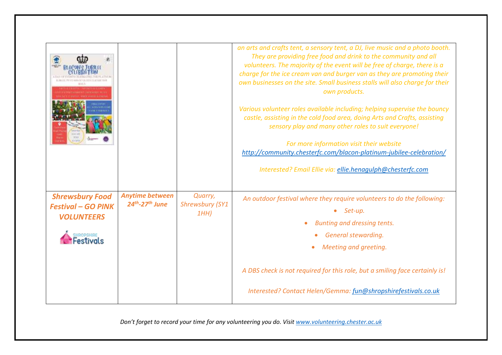|                                                                                                            |                                              |                                          | an arts and crafts tent, a sensory tent, a DJ, live music and a photo booth.<br>They are providing free food and drink to the community and all<br>volunteers. The majority of the event will be free of charge, there is a<br>charge for the ice cream van and burger van as they are promoting their<br>own businesses on the site. Small business stalls will also charge for their<br>own products.<br>Various volunteer roles available including; helping supervise the bouncy<br>castle, assisting in the cold food area, doing Arts and Crafts, assisting<br>sensory play and many other roles to suit everyone!<br>For more information visit their website<br>http://community.chesterfc.com/blacon-platinum-jubilee-celebration/<br>Interested? Email Ellie via: ellie.henagulph@chesterfc.com |
|------------------------------------------------------------------------------------------------------------|----------------------------------------------|------------------------------------------|-----------------------------------------------------------------------------------------------------------------------------------------------------------------------------------------------------------------------------------------------------------------------------------------------------------------------------------------------------------------------------------------------------------------------------------------------------------------------------------------------------------------------------------------------------------------------------------------------------------------------------------------------------------------------------------------------------------------------------------------------------------------------------------------------------------|
| <b>Shrewsbury Food</b><br><b>Festival - GO PINK</b><br><b>VOLUNTEERS</b><br><b>SHROPSHERE</b><br>Festivals | <b>Anytime between</b><br>$24th - 27th$ June | Quarry,<br><b>Shrewsbury (SY1</b><br>1HH | An outdoor festival where they require volunteers to do the following:<br>Set-up.<br>Bunting and dressing tents.<br>General stewarding.<br>Meeting and greeting.<br>A DBS check is not required for this role, but a smiling face certainly is!<br>Interested? Contact Helen/Gemma: fun@shropshirefestivals.co.uk                                                                                                                                                                                                                                                                                                                                                                                                                                                                                         |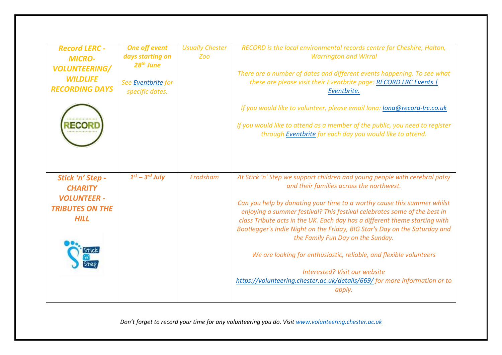| <b>Record LERC -</b><br><b>MICRO-</b><br><b>VOLUNTEERING/</b><br><b>WILDLIFE</b><br><b>RECORDING DAYS</b> | <b>One off event</b><br>days starting on<br>$28th$ June<br>See Eventbrite for<br>specific dates. | <b>Usually Chester</b><br>Zoo | RECORD is the local environmental records centre for Cheshire, Halton,<br><b>Warrington and Wirral</b><br>There are a number of dates and different events happening. To see what<br>these are please visit their Eventbrite page: RECORD LRC Events  <br>Eventbrite.                                                                                                                                                                                                                                                                                                                                                                                                         |
|-----------------------------------------------------------------------------------------------------------|--------------------------------------------------------------------------------------------------|-------------------------------|-------------------------------------------------------------------------------------------------------------------------------------------------------------------------------------------------------------------------------------------------------------------------------------------------------------------------------------------------------------------------------------------------------------------------------------------------------------------------------------------------------------------------------------------------------------------------------------------------------------------------------------------------------------------------------|
|                                                                                                           |                                                                                                  |                               | If you would like to volunteer, please email Iona: <i>Iona@record-Irc.co.uk</i><br>If you would like to attend as a member of the public, you need to register<br>through Eventbrite for each day you would like to attend.                                                                                                                                                                                                                                                                                                                                                                                                                                                   |
| Stick 'n' Step -<br><b>CHARITY</b><br><b>VOLUNTEER -</b><br><b>TRIBUTES ON THE</b><br><b>HILL</b>         | $1st - 3rd$ July                                                                                 | Frodsham                      | At Stick 'n' Step we support children and young people with cerebral palsy<br>and their families across the northwest.<br>Can you help by donating your time to a worthy cause this summer whilst<br>enjoying a summer festival? This festival celebrates some of the best in<br>class Tribute acts in the UK. Each day has a different theme starting with<br>Bootlegger's Indie Night on the Friday, BIG Star's Day on the Saturday and<br>the Family Fun Day on the Sunday.<br>We are looking for enthusiastic, reliable, and flexible volunteers<br>Interested? Visit our website<br>https://volunteering.chester.ac.uk/details/669/ for more information or to<br>apply. |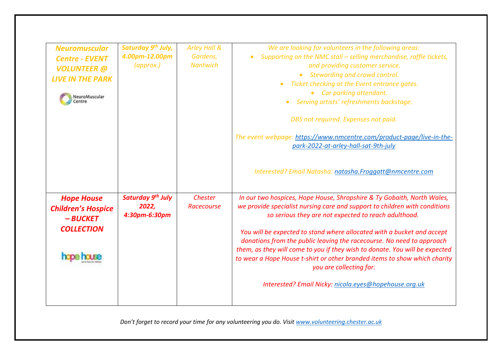| <b>Neuromuscular</b><br><b>Centre - EVENT</b><br><b>VOLUNTEER</b> @<br><b>LIVE IN THE PARK</b><br><b>NeuroMuscular</b><br>Centre | Saturday 9th July,<br>4.00pm-12.00pm<br>$\left($ approx. $\right)$ | Arley Hall &<br>Gardens,<br><b>Nantwich</b> | We are looking for volunteers in the following areas:<br>Supporting on the NMC stall - selling merchandise, raffle tickets,<br>and providing customer service.<br>Stewarding and crowd control.<br>$\bullet$<br>Ticket checking at the Event entrance gates.<br>$\bullet$<br>Car parking attendant.<br>Serving artists' refreshments backstage.<br>DBS not required. Expenses not paid.<br>The event webpage: https://www.nmcentre.com/product-page/live-in-the-<br>park-2022-at-arley-hall-sat-9th-july<br>Interested? Email Natasha: natasha. Froggatt@nmcentre.com                                           |
|----------------------------------------------------------------------------------------------------------------------------------|--------------------------------------------------------------------|---------------------------------------------|-----------------------------------------------------------------------------------------------------------------------------------------------------------------------------------------------------------------------------------------------------------------------------------------------------------------------------------------------------------------------------------------------------------------------------------------------------------------------------------------------------------------------------------------------------------------------------------------------------------------|
| <b>Hope House</b><br><b>Children's Hospice</b><br>$-BUCKET$<br><b>COLLECTION</b>                                                 | Saturday 9 <sup>th</sup> July<br>2022,<br>4:30pm-6:30pm            | Chester<br>Racecourse                       | In our two hospices, Hope House, Shropshire & Ty Gobaith, North Wales,<br>we provide specialist nursing care and support to children with conditions<br>so serious they are not expected to reach adulthood.<br>You will be expected to stand where allocated with a bucket and accept<br>donations from the public leaving the racecourse. No need to approach<br>them, as they will come to you if they wish to donate. You will be expected<br>to wear a Hope House t-shirt or other branded items to show which charity<br>you are collecting for.<br>Interested? Email Nicky: nicola.eyes@hopehouse.org.uk |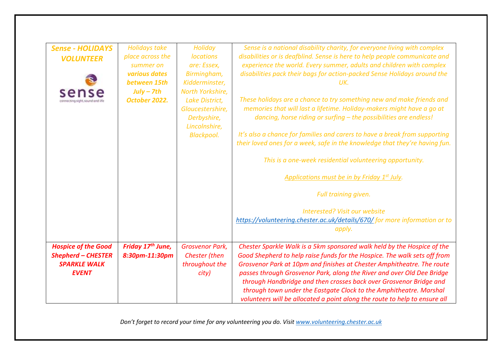| <b>Sense - HOLIDAYS</b><br><b>VOLUNTEER</b>                                                    | <b>Holidays take</b><br>place across the<br>summer on<br>various dates<br>between 15th<br>$July - 7th$<br>October 2022. | Holiday<br><b>locations</b><br>are: Essex,<br>Birmingham,<br>Kidderminster,<br>North Yorkshire,<br>Lake District,<br>Gloucestershire,<br>Derbyshire,<br>Lincolnshire,<br><b>Blackpool.</b> | Sense is a national disability charity, for everyone living with complex<br>disabilities or is deafblind. Sense is here to help people communicate and<br>experience the world. Every summer, adults and children with complex<br>disabilities pack their bags for action-packed Sense Holidays around the<br>UK.<br>These holidays are a chance to try something new and make friends and<br>memories that will last a lifetime. Holiday-makers might have a go at<br>dancing, horse riding or surfing - the possibilities are endless!<br>It's also a chance for families and carers to have a break from supporting<br>their loved ones for a week, safe in the knowledge that they're having fun. |
|------------------------------------------------------------------------------------------------|-------------------------------------------------------------------------------------------------------------------------|--------------------------------------------------------------------------------------------------------------------------------------------------------------------------------------------|-------------------------------------------------------------------------------------------------------------------------------------------------------------------------------------------------------------------------------------------------------------------------------------------------------------------------------------------------------------------------------------------------------------------------------------------------------------------------------------------------------------------------------------------------------------------------------------------------------------------------------------------------------------------------------------------------------|
|                                                                                                |                                                                                                                         |                                                                                                                                                                                            | This is a one-week residential volunteering opportunity.<br>Applications must be in by Friday 1st July.                                                                                                                                                                                                                                                                                                                                                                                                                                                                                                                                                                                               |
|                                                                                                |                                                                                                                         |                                                                                                                                                                                            | Full training given.<br><b>Interested? Visit our website</b>                                                                                                                                                                                                                                                                                                                                                                                                                                                                                                                                                                                                                                          |
|                                                                                                |                                                                                                                         |                                                                                                                                                                                            | https://volunteering.chester.ac.uk/details/670/ for more information or to<br>apply.                                                                                                                                                                                                                                                                                                                                                                                                                                                                                                                                                                                                                  |
| <b>Hospice of the Good</b><br><b>Shepherd - CHESTER</b><br><b>SPARKLE WALK</b><br><b>EVENT</b> | Friday 17 <sup>th</sup> June,<br>8:30pm-11:30pm                                                                         | <b>Grosvenor Park,</b><br>Chester (then<br>throughout the<br>city)                                                                                                                         | Chester Sparkle Walk is a 5km sponsored walk held by the Hospice of the<br>Good Shepherd to help raise funds for the Hospice. The walk sets off from<br>Grosvenor Park at 10pm and finishes at Chester Amphitheatre. The route<br>passes through Grosvenor Park, along the River and over Old Dee Bridge<br>through Handbridge and then crosses back over Grosvenor Bridge and<br>through town under the Eastgate Clock to the Amphitheatre. Marshal<br>volunteers will be allocated a point along the route to help to ensure all                                                                                                                                                                    |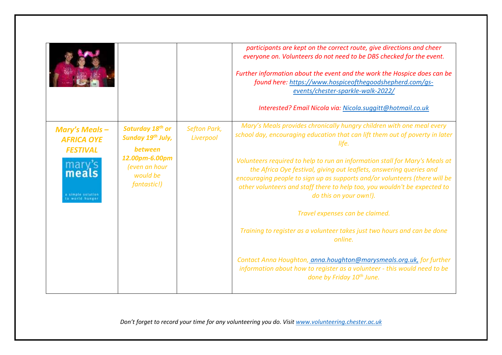|                                                                                 |                                                                                                                                   |                                  | participants are kept on the correct route, give directions and cheer<br>everyone on. Volunteers do not need to be DBS checked for the event.<br>Further information about the event and the work the Hospice does can be<br>found here: https://www.hospiceofthegoodshepherd.com/gs-<br>events/chester-sparkle-walk-2022/<br>Interested? Email Nicola via: Nicola.suggitt@hotmail.co.uk                                                                                                                                                                                                                                                                                                                                                                                                                                        |
|---------------------------------------------------------------------------------|-----------------------------------------------------------------------------------------------------------------------------------|----------------------------------|---------------------------------------------------------------------------------------------------------------------------------------------------------------------------------------------------------------------------------------------------------------------------------------------------------------------------------------------------------------------------------------------------------------------------------------------------------------------------------------------------------------------------------------------------------------------------------------------------------------------------------------------------------------------------------------------------------------------------------------------------------------------------------------------------------------------------------|
| <b>Mary's Meals-</b><br><b>AFRICA OYE</b><br><b>FESTIVAL</b><br>mary's<br>meals | Saturday 18 <sup>th</sup> or<br>Sunday 19th July,<br>between<br>12.00pm-6.00pm<br>(even an hour<br>would be<br><i>fantastic!)</i> | <b>Sefton Park,</b><br>Liverpool | Mary's Meals provides chronically hungry children with one meal every<br>school day, encouraging education that can lift them out of poverty in later<br>life.<br>Volunteers required to help to run an information stall for Mary's Meals at<br>the Africa Oye festival, giving out leaflets, answering queries and<br>encouraging people to sign up as supports and/or volunteers (there will be<br>other volunteers and staff there to help too, you wouldn't be expected to<br>do this on your own!).<br>Travel expenses can be claimed.<br>Training to register as a volunteer takes just two hours and can be done<br>online.<br>Contact Anna Houghton, anna.houghton@marysmeals.org.uk, for further<br>information about how to register as a volunteer - this would need to be<br>done by Friday 10 <sup>th</sup> June. |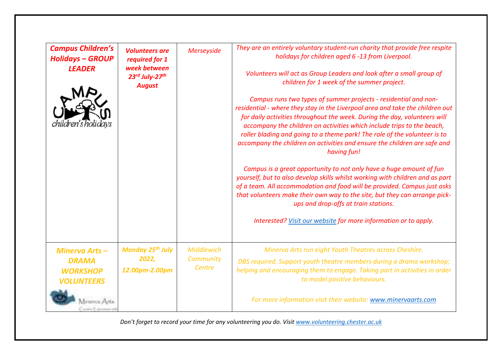| <b>Campus Children's</b><br><b>Holidays - GROUP</b><br><b>LEADER</b><br>chuaren s nou c | <b>Volunteers are</b><br>required for 1<br>week between<br>23rd July-27th<br><b>August</b> | <b>Merseyside</b>                        | They are an entirely voluntary student-run charity that provide free respite<br>holidays for children aged 6 -13 from Liverpool.<br>Volunteers will act as Group Leaders and look after a small group of<br>children for 1 week of the summer project.<br>Campus runs two types of summer projects - residential and non-<br>residential - where they stay in the Liverpool area and take the children out<br>for daily activities throughout the week. During the day, volunteers will<br>accompany the children on activities which include trips to the beach,<br>roller blading and going to a theme park! The role of the volunteer is to<br>accompany the children on activities and ensure the children are safe and<br>having fun!<br>Campus is a great opportunity to not only have a huge amount of fun<br>yourself, but to also develop skills whilst working with children and as part<br>of a team. All accommodation and food will be provided. Campus just asks<br>that volunteers make their own way to the site, but they can arrange pick-<br>ups and drop-offs at train stations.<br>Interested? Visit our website for more information or to apply. |
|-----------------------------------------------------------------------------------------|--------------------------------------------------------------------------------------------|------------------------------------------|-------------------------------------------------------------------------------------------------------------------------------------------------------------------------------------------------------------------------------------------------------------------------------------------------------------------------------------------------------------------------------------------------------------------------------------------------------------------------------------------------------------------------------------------------------------------------------------------------------------------------------------------------------------------------------------------------------------------------------------------------------------------------------------------------------------------------------------------------------------------------------------------------------------------------------------------------------------------------------------------------------------------------------------------------------------------------------------------------------------------------------------------------------------------------|
| <b>Minerva Arts-</b><br><b>DRAMA</b><br><b>WORKSHOP</b><br><b>VOLUNTEERS</b>            | <b>Monday 25th July</b><br>2022,<br>12.00pm-2.00pm                                         | <b>Middlewich</b><br>Community<br>Centre | Minerva Arts run eight Youth Theatres across Cheshire.<br>DBS required. Support youth theatre members during a drama workshop;<br>helping and encouraging them to engage. Taking part in activities in order<br>to model positive behaviours.                                                                                                                                                                                                                                                                                                                                                                                                                                                                                                                                                                                                                                                                                                                                                                                                                                                                                                                           |
|                                                                                         |                                                                                            |                                          | For more information visit their website: www.minervaarts.com                                                                                                                                                                                                                                                                                                                                                                                                                                                                                                                                                                                                                                                                                                                                                                                                                                                                                                                                                                                                                                                                                                           |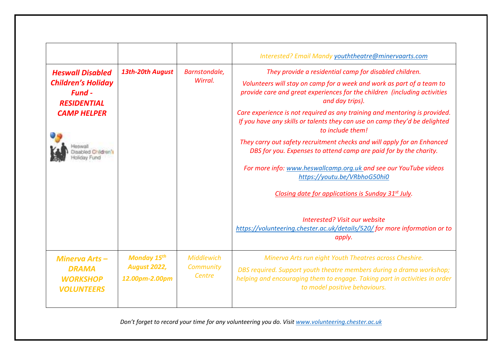|                                                                                                                   |                                                             |                                          | Interested? Email Mandy youththeatre@minervaarts.com                                                                                                                                                                                                                                                                                                                                                                                                                                                                                                                                                                                                                                                                                  |
|-------------------------------------------------------------------------------------------------------------------|-------------------------------------------------------------|------------------------------------------|---------------------------------------------------------------------------------------------------------------------------------------------------------------------------------------------------------------------------------------------------------------------------------------------------------------------------------------------------------------------------------------------------------------------------------------------------------------------------------------------------------------------------------------------------------------------------------------------------------------------------------------------------------------------------------------------------------------------------------------|
| <b>Heswall Disabled</b><br><b>Children's Holiday</b><br><b>Fund -</b><br><b>RESIDENTIAL</b><br><b>CAMP HELPER</b> | 13th-20th August                                            | Barnstondale,<br>Wirral.                 | They provide a residential camp for disabled children.<br>Volunteers will stay on camp for a week and work as part of a team to<br>provide care and great experiences for the children (including activities<br>and day trips).<br>Care experience is not required as any training and mentoring is provided.<br>If you have any skills or talents they can use on camp they'd be delighted<br>to include them!<br>They carry out safety recruitment checks and will apply for an Enhanced<br>DBS for you. Expenses to attend camp are paid for by the charity.<br>For more info: www.heswallcamp.org.uk and see our YouTube videos<br>https://youtu.be/VRbhoG50hi0<br>Closing date for applications is Sunday 31 <sup>st</sup> July. |
|                                                                                                                   |                                                             |                                          | Interested? Visit our website<br>https://volunteering.chester.ac.uk/details/520/for more information or to<br>apply.                                                                                                                                                                                                                                                                                                                                                                                                                                                                                                                                                                                                                  |
| Minerva Arts-<br><b>DRAMA</b><br><b>WORKSHOP</b><br><b>VOLUNTEERS</b>                                             | <b>Monday 15th</b><br><b>August 2022,</b><br>12.00pm-2.00pm | <b>Middlewich</b><br>Community<br>Centre | Minerva Arts run eight Youth Theatres across Cheshire.<br>DBS required. Support youth theatre members during a drama workshop;<br>helping and encouraging them to engage. Taking part in activities in order<br>to model positive behaviours.                                                                                                                                                                                                                                                                                                                                                                                                                                                                                         |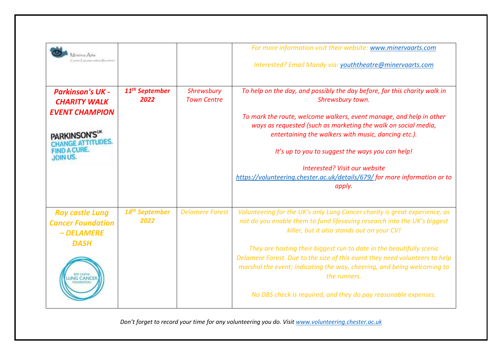| merica Arta.                                                                                                                     |                                    |                                  | For more information visit their website: www.minervaarts.com<br>Interested? Email Mandy via: youththeatre@minervaarts.com                                                                                                                                                                                                                                                                                                                                                                                               |
|----------------------------------------------------------------------------------------------------------------------------------|------------------------------------|----------------------------------|--------------------------------------------------------------------------------------------------------------------------------------------------------------------------------------------------------------------------------------------------------------------------------------------------------------------------------------------------------------------------------------------------------------------------------------------------------------------------------------------------------------------------|
| <b>Parkinson's UK -</b><br><b>CHARITY WALK</b><br><b>EVENT CHAMPION</b><br><b>PARKINSON'S</b><br><b>FIND A CURE.</b><br>JOIN US. | 11 <sup>th</sup> September<br>2022 | Shrewsbury<br><b>Town Centre</b> | To help on the day, and possibly the day before, for this charity walk in<br>Shrewsbury town.<br>To mark the route, welcome walkers, event manage, and help in other<br>ways as requested (such as marketing the walk on social media,<br>entertaining the walkers with music, dancing etc.).<br>It's up to you to suggest the ways you can help!<br>Interested? Visit our website<br>https://volunteering.chester.ac.uk/details/679/ for more information or to<br>apply.                                               |
| <b>Roy castle Lung</b><br><b>Cancer Foundation</b><br>- DELAMERE<br><b>DASH</b>                                                  | 18 <sup>th</sup> September<br>2022 | <b>Delamere Forest</b>           | Volunteering for the UK's only Lung Cancer charity is great experience, as<br>not do you enable them to fund lifesaving research into the UK's biggest<br>killer, but it also stands out on your CV!<br>They are hosting their biggest run to date in the beautifully scenic<br>Delamere Forest. Due to the size of this event they need volunteers to help<br>marshal the event; indicating the way, cheering, and being welcoming to<br>the runners.<br>No DBS check is required, and they do pay reasonable expenses. |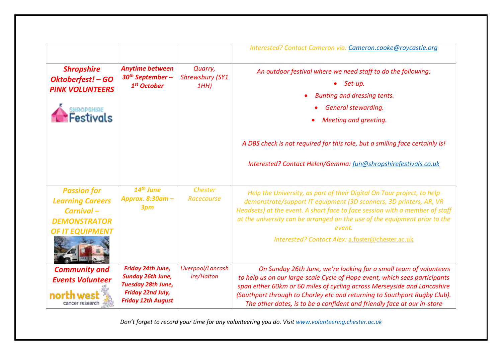|                                                                                                             |                                                                                                                       |                                          | Interested? Contact Cameron via: Cameron.cooke@roycastle.org                                                                                                                                                                                                                                                                                                                        |
|-------------------------------------------------------------------------------------------------------------|-----------------------------------------------------------------------------------------------------------------------|------------------------------------------|-------------------------------------------------------------------------------------------------------------------------------------------------------------------------------------------------------------------------------------------------------------------------------------------------------------------------------------------------------------------------------------|
| <b>Shropshire</b><br>Oktoberfest! - GO<br><b>PINK VOLUNTEERS</b><br><b>SHROPSHIRE</b><br>Festivals          | Anytime between<br>$30th September -$<br>1 <sup>st</sup> October                                                      | Quarry,<br><b>Shrewsbury (SY1</b><br>1HH | An outdoor festival where we need staff to do the following:<br>Set-up.<br>Bunting and dressing tents.<br>General stewarding.<br>Meeting and greeting.<br>A DBS check is not required for this role, but a smiling face certainly is!<br>Interested? Contact Helen/Gemma: fun@shropshirefestivals.co.uk                                                                             |
| <b>Passion for</b><br><b>Learning Careers</b><br>Carnival-<br><b>DEMONSTRATOR</b><br><b>OF IT EQUIPMENT</b> | $14th$ June<br>Approx. 8:30am -<br>3pm                                                                                | Chester<br>Racecourse                    | Help the University, as part of their Digital On Tour project, to help<br>demonstrate/support IT equipment (3D scanners, 3D printers, AR, VR<br>Headsets) at the event. A short face to face session with a member of staff<br>at the university can be arranged on the use of the equipment prior to the<br>event.<br>Interested? Contact Alex: a.foster@chester.ac.uk             |
| <b>Community and</b><br><b>Events Volunteer</b><br>cancer research                                          | Friday 24th June,<br><b>Sunday 26th June,</b><br>Tuesday 28th June,<br>Friday 22nd July,<br><b>Friday 12th August</b> | Liverpool/Lancash<br>ire/Halton          | On Sunday 26th June, we're looking for a small team of volunteers<br>to help us on our large-scale Cycle of Hope event, which sees participants<br>span either 60km or 60 miles of cycling across Merseyside and Lancashire<br>(Southport through to Chorley etc and returning to Southport Rugby Club).<br>The other dates, is to be a confident and friendly face at our in-store |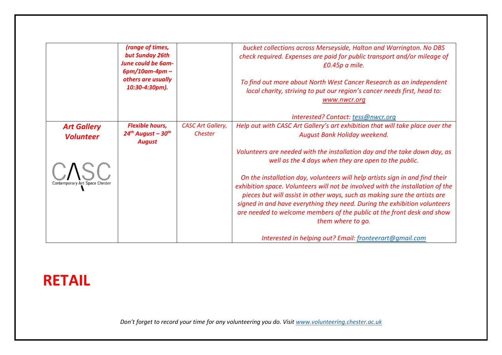|                                        | (range of times,<br>but Sunday 26th<br><b>June could be 6am-</b>               |                                     | bucket collections across Merseyside, Halton and Warrington. No DBS<br>check required. Expenses are paid for public transport and/or mileage of<br>£0.45p a mile.                                                                                                                                                                                                                                                       |
|----------------------------------------|--------------------------------------------------------------------------------|-------------------------------------|-------------------------------------------------------------------------------------------------------------------------------------------------------------------------------------------------------------------------------------------------------------------------------------------------------------------------------------------------------------------------------------------------------------------------|
|                                        | $6pm/10am-4pm$<br>others are usually<br>10:30-4:30pm).                         |                                     | To find out more about North West Cancer Research as an independent<br>local charity, striving to put our region's cancer needs first, head to:<br>www.nwcr.org                                                                                                                                                                                                                                                         |
|                                        |                                                                                |                                     | Interested? Contact: tess@nwcr.org                                                                                                                                                                                                                                                                                                                                                                                      |
| <b>Art Gallery</b><br><b>Volunteer</b> | <b>Flexible hours,</b><br>$24^{th}$ August - 30 <sup>th</sup><br><b>August</b> | <b>CASC Art Gallery,</b><br>Chester | Help out with CASC Art Gallery's art exhibition that will take place over the<br>August Bank Holiday weekend.                                                                                                                                                                                                                                                                                                           |
|                                        |                                                                                |                                     | Volunteers are needed with the installation day and the take down day, as<br>well as the 4 days when they are open to the public.                                                                                                                                                                                                                                                                                       |
| Contemporary Art Space Chester         |                                                                                |                                     | On the installation day, volunteers will help artists sign in and find their<br>exhibition space. Volunteers will not be involved with the installation of the<br>pieces but will assist in other ways, such as making sure the artists are<br>signed in and have everything they need. During the exhibition volunteers<br>are needed to welcome members of the public at the front desk and show<br>them where to go. |
|                                        |                                                                                |                                     | Interested in helping out? Email: fronteerart@gmail.com                                                                                                                                                                                                                                                                                                                                                                 |

## <span id="page-11-0"></span>**RETAIL**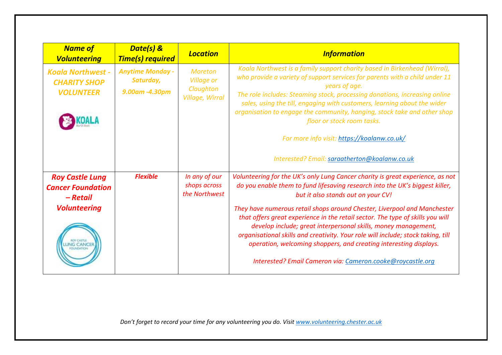| <b>Name of</b><br><b>Volunteering</b>                                                 | Date(s) &<br><b>Time(s) required</b>                   | <b>Location</b>                                                     | <b>Information</b>                                                                                                                                                                                                                                                                                                                                                                                                                                                                                                                                                                                                                                          |
|---------------------------------------------------------------------------------------|--------------------------------------------------------|---------------------------------------------------------------------|-------------------------------------------------------------------------------------------------------------------------------------------------------------------------------------------------------------------------------------------------------------------------------------------------------------------------------------------------------------------------------------------------------------------------------------------------------------------------------------------------------------------------------------------------------------------------------------------------------------------------------------------------------------|
| <b>Koala Northwest -</b><br><b>CHARITY SHOP</b><br><b>VOLUNTEER</b>                   | <b>Anytime Monday -</b><br>Saturday,<br>9.00am -4.30pm | <b>Moreton</b><br><b>Village or</b><br>Claughton<br>Village, Wirral | Koala Northwest is a family support charity based in Birkenhead (Wirral),<br>who provide a variety of support services for parents with a child under 11<br>years of age.<br>The role includes: Steaming stock, processing donations, increasing online<br>sales, using the till, engaging with customers, learning about the wider<br>organisation to engage the community, hanging, stock take and other shop<br>floor or stock room tasks.<br>For more info visit: https://koalanw.co.uk/<br>Interested? Email: saraatherton@koalanw.co.uk                                                                                                               |
| <b>Roy Castle Lung</b><br><b>Cancer Foundation</b><br>– Retail<br><b>Volunteering</b> | <b>Flexible</b>                                        | In any of our<br>shops across<br>the Northwest                      | Volunteering for the UK's only Lung Cancer charity is great experience, as not<br>do you enable them to fund lifesaving research into the UK's biggest killer,<br>but it also stands out on your CV!<br>They have numerous retail shops around Chester, Liverpool and Manchester<br>that offers great experience in the retail sector. The type of skills you will<br>develop include; great interpersonal skills, money management,<br>organisational skills and creativity. Your role will include; stock taking, till<br>operation, welcoming shoppers, and creating interesting displays.<br>Interested? Email Cameron via: Cameron.cooke@roycastle.org |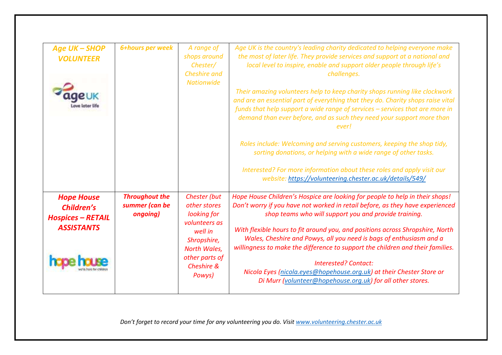| <b>Age UK - SHOP</b><br><b>VOLUNTEER</b>                                                | 6+hours per week                                    | A range of<br>shops around<br>Chester/<br><b>Cheshire</b> and<br><b>Nationwide</b>                                                               | Age UK is the country's leading charity dedicated to helping everyone make<br>the most of later life. They provide services and support at a national and<br>local level to inspire, enable and support older people through life's<br>challenges.<br>Their amazing volunteers help to keep charity shops running like clockwork<br>and are an essential part of everything that they do. Charity shops raise vital<br>funds that help support a wide range of services - services that are more in<br>demand than ever before, and as such they need your support more than<br>everl<br>Roles include: Welcoming and serving customers, keeping the shop tidy,<br>sorting donations, or helping with a wide range of other tasks.<br>Interested? For more information about these roles and apply visit our<br>website: https://volunteering.chester.ac.uk/details/549/ |
|-----------------------------------------------------------------------------------------|-----------------------------------------------------|--------------------------------------------------------------------------------------------------------------------------------------------------|--------------------------------------------------------------------------------------------------------------------------------------------------------------------------------------------------------------------------------------------------------------------------------------------------------------------------------------------------------------------------------------------------------------------------------------------------------------------------------------------------------------------------------------------------------------------------------------------------------------------------------------------------------------------------------------------------------------------------------------------------------------------------------------------------------------------------------------------------------------------------|
| <b>Hope House</b><br><b>Children's</b><br><b>Hospices - RETAIL</b><br><b>ASSISTANTS</b> | <b>Throughout the</b><br>summer (can be<br>ongoing) | Chester (but<br>other stores<br>looking for<br>volunteers as<br>well in<br>Shropshire,<br>North Wales,<br>other parts of<br>Cheshire &<br>Powys) | Hope House Children's Hospice are looking for people to help in their shops!<br>Don't worry if you have not worked in retail before, as they have experienced<br>shop teams who will support you and provide training.<br>With flexible hours to fit around you, and positions across Shropshire, North<br>Wales, Cheshire and Powys, all you need is bags of enthusiasm and a<br>willingness to make the difference to support the children and their families.<br><b>Interested? Contact:</b><br>Nicola Eyes (nicola.eyes@hopehouse.org.uk) at their Chester Store or<br>Di Murr (volunteer@hopehouse.org.uk) for all other stores.                                                                                                                                                                                                                                    |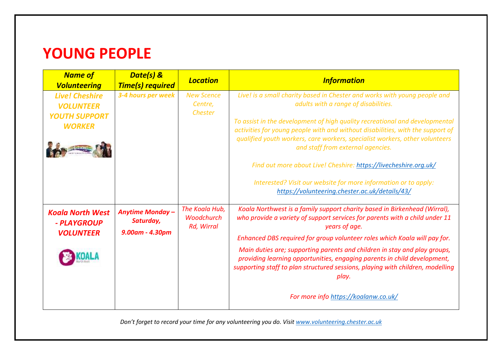# <span id="page-14-0"></span>**YOUNG PEOPLE**

| <b>Name of</b><br><b>Volunteering</b>  | Date(s) &<br><b>Time(s) required</b> | <b>Location</b>                                   | <b>Information</b>                                                                                                                                                                                                                               |
|----------------------------------------|--------------------------------------|---------------------------------------------------|--------------------------------------------------------------------------------------------------------------------------------------------------------------------------------------------------------------------------------------------------|
| <b>Live! Cheshire</b>                  | 3-4 hours per week                   | <b>New Scence</b>                                 | Live! is a small charity based in Chester and works with young people and                                                                                                                                                                        |
| <b>VOLUNTEER</b>                       |                                      | Centre,                                           | adults with a range of disabilities.                                                                                                                                                                                                             |
| <b>YOUTH SUPPORT</b>                   |                                      | <b>Chester</b>                                    |                                                                                                                                                                                                                                                  |
| <b>WORKER</b>                          |                                      |                                                   | To assist in the development of high quality recreational and developmental<br>activities for young people with and without disabilities, with the support of                                                                                    |
|                                        |                                      |                                                   | qualified youth workers, care workers, specialist workers, other volunteers<br>and staff from external agencies.                                                                                                                                 |
|                                        |                                      |                                                   | Find out more about Live! Cheshire: https://livecheshire.org.uk/                                                                                                                                                                                 |
|                                        |                                      |                                                   | Interested? Visit our website for more information or to apply:<br>https://volunteering.chester.ac.uk/details/43/                                                                                                                                |
| <b>Koala North West</b><br>- PLAYGROUP | <b>Anytime Monday -</b><br>Saturday, | The Koala Hub,<br><b>Woodchurch</b><br>Rd, Wirral | Koala Northwest is a family support charity based in Birkenhead (Wirral),<br>who provide a variety of support services for parents with a child under 11<br>years of age.                                                                        |
| <b>VOLUNTEER</b>                       | 9.00am - 4.30pm                      |                                                   | Enhanced DBS required for group volunteer roles which Koala will pay for.                                                                                                                                                                        |
|                                        |                                      |                                                   | Main duties are; supporting parents and children in stay and play groups,<br>providing learning opportunities, engaging parents in child development,<br>supporting staff to plan structured sessions, playing with children, modelling<br>play. |
|                                        |                                      |                                                   | For more info https://koalanw.co.uk/                                                                                                                                                                                                             |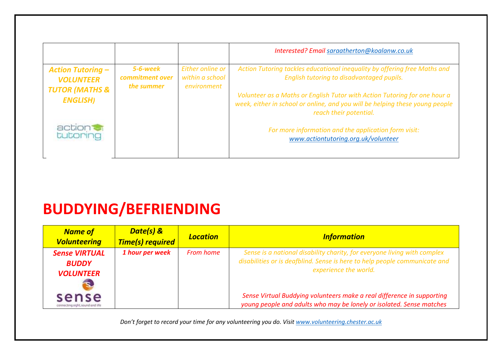|                                                                           |                                           |                                                    | Interested? Email saraatherton@koalanw.co.uk                                                                                                                                        |
|---------------------------------------------------------------------------|-------------------------------------------|----------------------------------------------------|-------------------------------------------------------------------------------------------------------------------------------------------------------------------------------------|
| <b>Action Tutoring -</b><br><b>VOLUNTEER</b><br><b>TUTOR (MATHS &amp;</b> | 5-6-week<br>commitment over<br>the summer | Either online or<br>within a school<br>environment | Action Tutoring tackles educational inequality by offering free Maths and<br>English tutoring to disadvantaged pupils.                                                              |
| <b>ENGLISH)</b>                                                           |                                           |                                                    | Volunteer as a Maths or English Tutor with Action Tutoring for one hour a<br>week, either in school or online, and you will be helping these young people<br>reach their potential. |
| action of<br>tutoring                                                     |                                           |                                                    | For more information and the application form visit:<br>www.actiontutoring.org.uk/volunteer                                                                                         |

# <span id="page-15-0"></span>**BUDDYING/BEFRIENDING**

| <b>Name of</b><br><b>Volunteering</b>                          | Date(s) &<br><b>Time(s) required</b> | <b>Location</b>  | <b>Information</b>                                                                                                                                                              |
|----------------------------------------------------------------|--------------------------------------|------------------|---------------------------------------------------------------------------------------------------------------------------------------------------------------------------------|
| <b>Sense VIRTUAL</b><br><b>BUDDY</b><br><b>VOLUNTEER</b><br>S) | 1 hour per week                      | <b>From home</b> | Sense is a national disability charity, for everyone living with complex<br>disabilities or is deafblind. Sense is here to help people communicate and<br>experience the world. |
| sense<br>connecting sight, sound and life                      |                                      |                  | Sense Virtual Buddying volunteers make a real difference in supporting<br>young people and adults who may be lonely or isolated. Sense matches                                  |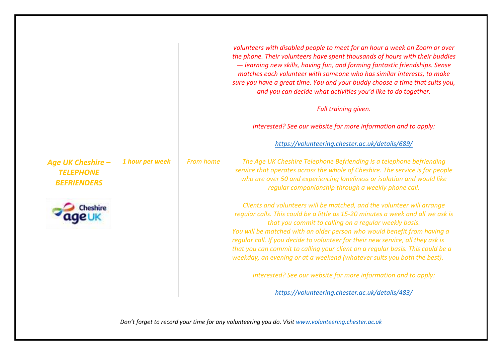|                                                                    |                 |                  | volunteers with disabled people to meet for an hour a week on Zoom or over<br>the phone. Their volunteers have spent thousands of hours with their buddies<br>- learning new skills, having fun, and forming fantastic friendships. Sense<br>matches each volunteer with someone who has similar interests, to make<br>sure you have a great time. You and your buddy choose a time that suits you,<br>and you can decide what activities you'd like to do together.<br>Full training given.<br>Interested? See our website for more information and to apply:<br>https://volunteering.chester.ac.uk/details/689/ |
|--------------------------------------------------------------------|-----------------|------------------|-------------------------------------------------------------------------------------------------------------------------------------------------------------------------------------------------------------------------------------------------------------------------------------------------------------------------------------------------------------------------------------------------------------------------------------------------------------------------------------------------------------------------------------------------------------------------------------------------------------------|
| <b>Age UK Cheshire -</b><br><b>TELEPHONE</b><br><b>BEFRIENDERS</b> | 1 hour per week | <b>From home</b> | The Age UK Cheshire Telephone Befriending is a telephone befriending<br>service that operates across the whole of Cheshire. The service is for people<br>who are over 50 and experiencing loneliness or isolation and would like<br>regular companionship through a weekly phone call.                                                                                                                                                                                                                                                                                                                            |
|                                                                    |                 |                  | Clients and volunteers will be matched, and the volunteer will arrange<br>regular calls. This could be a little as 15-20 minutes a week and all we ask is<br>that you commit to calling on a regular weekly basis.<br>You will be matched with an older person who would benefit from having a<br>regular call. If you decide to volunteer for their new service, all they ask is<br>that you can commit to calling your client on a regular basis. This could be a<br>weekday, an evening or at a weekend (whatever suits you both the best).                                                                    |
|                                                                    |                 |                  | Interested? See our website for more information and to apply:<br>https://volunteering.chester.ac.uk/details/483/                                                                                                                                                                                                                                                                                                                                                                                                                                                                                                 |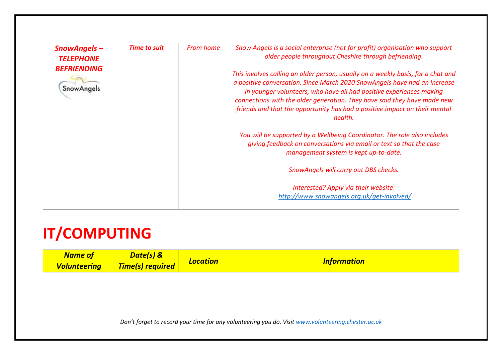| SnowAngels-                                          | <b>Time to suit</b> | <b>From home</b> | Snow Angels is a social enterprise (not for profit) organisation who support<br>older people throughout Cheshire through befriending.                                                                                                                                                                                                                                                                     |
|------------------------------------------------------|---------------------|------------------|-----------------------------------------------------------------------------------------------------------------------------------------------------------------------------------------------------------------------------------------------------------------------------------------------------------------------------------------------------------------------------------------------------------|
| <b>TELEPHONE</b><br><b>BEFRIENDING</b><br>SnowAngels |                     |                  | This involves calling an older person, usually on a weekly basis, for a chat and<br>a positive conversation. Since March 2020 SnowAngels have had an increase<br>in younger volunteers, who have all had positive experiences making<br>connections with the older generation. They have said they have made new<br>friends and that the opportunity has had a positive impact on their mental<br>health. |
|                                                      |                     |                  | You will be supported by a Wellbeing Coordinator. The role also includes<br>giving feedback on conversations via email or text so that the case<br>management system is kept up-to-date.                                                                                                                                                                                                                  |
|                                                      |                     |                  | SnowAngels will carry out DBS checks.                                                                                                                                                                                                                                                                                                                                                                     |
|                                                      |                     |                  | Interested? Apply via their website:<br>http://www.snowangels.org.uk/get-involved/                                                                                                                                                                                                                                                                                                                        |

# <span id="page-17-0"></span>**IT/COMPUTING**

| <b>Name of</b>      | Date(s) &        |                 |                    |
|---------------------|------------------|-----------------|--------------------|
| <b>Volunteering</b> | Time(s) required | <b>Location</b> | <b>Information</b> |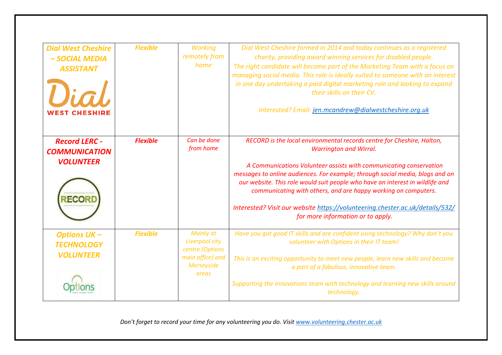| <b>Dial West Cheshire</b><br>- SOCIAL MEDIA<br><b>ASSISTANT</b><br>Dial | <b>Flexible</b> | <b>Working</b><br>remotely from<br>home                                                   | Dial West Cheshire formed in 2014 and today continues as a registered<br>charity, providing award winning services for disabled people.<br>The right candidate will become part of the Marketing Team with a focus on<br>managing social media. This role is ideally suited to someone with an interest<br>in one day undertaking a paid digital marketing role and looking to expand<br>their skills on their CV.<br>Interested? Email: jen.mcandrew@dialwestcheshire.org.uk                                                           |
|-------------------------------------------------------------------------|-----------------|-------------------------------------------------------------------------------------------|-----------------------------------------------------------------------------------------------------------------------------------------------------------------------------------------------------------------------------------------------------------------------------------------------------------------------------------------------------------------------------------------------------------------------------------------------------------------------------------------------------------------------------------------|
| <b>Record LERC -</b><br><b>COMMUNICATION</b><br><b>VOLUNTEER</b>        | <b>Flexible</b> | Can be done<br>from home                                                                  | RECORD is the local environmental records centre for Cheshire, Halton,<br><b>Warrington and Wirral.</b><br>A Communications Volunteer assists with communicating conservation<br>messages to online audiences. For example; through social media, blogs and on<br>our website. This role would suit people who have an interest in wildlife and<br>communicating with others, and are happy working on computers.<br>Interested? Visit our website https://volunteering.chester.ac.uk/details/532/<br>for more information or to apply. |
| <b>Options UK-</b><br><b>TECHNOLOGY</b><br><b>VOLUNTEER</b>             | <b>Flexible</b> | Mainly at<br>Liverpool city<br>centre (Options<br>main office) and<br>Merseyside<br>areas | Have you got good IT skills and are confident using technology? Why don't you<br>volunteer with Options in their IT team!<br>This is an exciting opportunity to meet new people, learn new skills and become<br>a part of a fabulous, innovative team.<br>Supporting the Innovations team with technology and learning new skills around<br>technology.                                                                                                                                                                                 |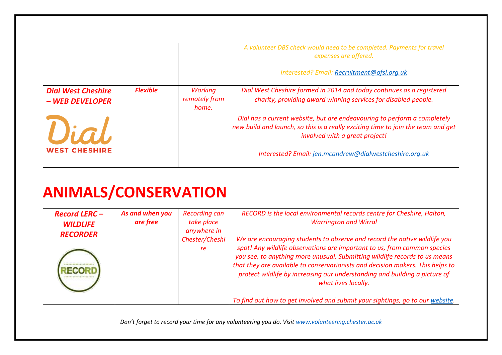|                                              |                 |                                          | A volunteer DBS check would need to be completed. Payments for travel<br>expenses are offered.                                                                                                 |
|----------------------------------------------|-----------------|------------------------------------------|------------------------------------------------------------------------------------------------------------------------------------------------------------------------------------------------|
|                                              |                 |                                          | Interested? Email: Recruitment@ofsl.org.uk                                                                                                                                                     |
| <b>Dial West Cheshire</b><br>- WEB DEVELOPER | <b>Flexible</b> | <b>Working</b><br>remotely from<br>home. | Dial West Cheshire formed in 2014 and today continues as a registered<br>charity, providing award winning services for disabled people.                                                        |
| Vial                                         |                 |                                          | Dial has a current website, but are endeavouring to perform a completely<br>new build and launch, so this is a really exciting time to join the team and get<br>involved with a great project! |
| <b>WEST CHESHIRE</b>                         |                 |                                          | Interested? Email: jen.mcandrew@dialwestcheshire.org.uk                                                                                                                                        |

# <span id="page-19-0"></span>**ANIMALS/CONSERVATION**

| <b>Record LERC-</b> | As and when you | <b>Recording can</b>                | RECORD is the local environmental records centre for Cheshire, Halton,                                                                                                                                                                                                                                                                                                                                                                                                                                      |
|---------------------|-----------------|-------------------------------------|-------------------------------------------------------------------------------------------------------------------------------------------------------------------------------------------------------------------------------------------------------------------------------------------------------------------------------------------------------------------------------------------------------------------------------------------------------------------------------------------------------------|
| <b>WILDLIFE</b>     | are free        | take place                          | <b>Warrington and Wirral</b>                                                                                                                                                                                                                                                                                                                                                                                                                                                                                |
| <b>RECORDER</b>     |                 | anywhere in<br>Chester/Cheshi<br>re | We are encouraging students to observe and record the native wildlife you<br>spot! Any wildlife observations are important to us, from common species<br>you see, to anything more unusual. Submitting wildlife records to us means<br>that they are available to conservationists and decision makers. This helps to<br>protect wildlife by increasing our understanding and building a picture of<br>what lives locally.<br>To find out how to get involved and submit your sightings, go to our website. |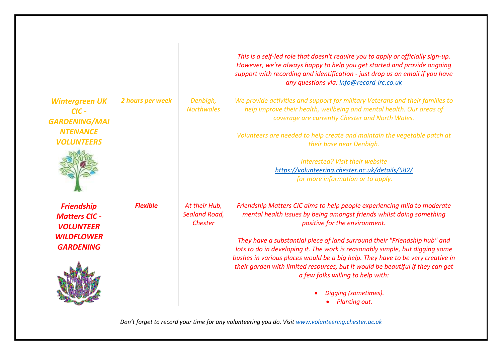|                                                                                                        |                  |                                                  | This is a self-led role that doesn't require you to apply or officially sign-up.<br>However, we're always happy to help you get started and provide ongoing<br>support with recording and identification - just drop us an email if you have<br>any questions via: info@record-Irc.co.uk                                                                                                                                                                                                                                                                                                                |
|--------------------------------------------------------------------------------------------------------|------------------|--------------------------------------------------|---------------------------------------------------------------------------------------------------------------------------------------------------------------------------------------------------------------------------------------------------------------------------------------------------------------------------------------------------------------------------------------------------------------------------------------------------------------------------------------------------------------------------------------------------------------------------------------------------------|
| <b>Wintergreen UK</b><br>$CIC -$<br><b>GARDENING/MAI</b><br><b>NTENANCE</b><br><b>VOLUNTEERS</b>       | 2 hours per week | Denbigh,<br><b>Northwales</b>                    | We provide activities and support for military Veterans and their families to<br>help improve their health, wellbeing and mental health. Our areas of<br>coverage are currently Chester and North Wales.<br>Volunteers are needed to help create and maintain the vegetable patch at<br>their base near Denbigh.<br>Interested? Visit their website<br>https://volunteering.chester.ac.uk/details/582/<br>for more information or to apply.                                                                                                                                                             |
| <b>Friendship</b><br><b>Matters CIC -</b><br><b>VOLUNTEER</b><br><b>WILDFLOWER</b><br><b>GARDENING</b> | <b>Flexible</b>  | At their Hub,<br><b>Sealand Road,</b><br>Chester | Friendship Matters CIC aims to help people experiencing mild to moderate<br>mental health issues by being amongst friends whilst doing something<br>positive for the environment.<br>They have a substantial piece of land surround their "Friendship hub" and<br>lots to do in developing it. The work is reasonably simple, but digging some<br>bushes in various places would be a big help. They have to be very creative in<br>their garden with limited resources, but it would be beautiful if they can get<br>a few folks willing to help with:<br>Digging (sometimes).<br><b>Planting out.</b> |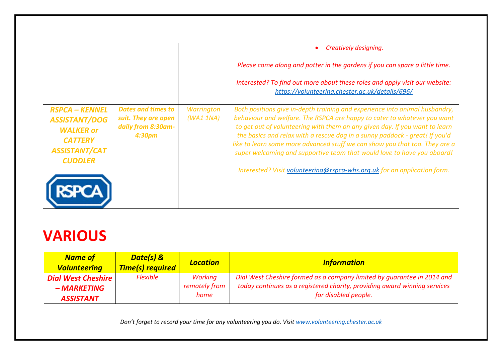|                                                                                                                               |                                                                                              |                        | Creatively designing.                                                                                                                                                                                                                                                                                                                                                                                                                                                                                                                                       |
|-------------------------------------------------------------------------------------------------------------------------------|----------------------------------------------------------------------------------------------|------------------------|-------------------------------------------------------------------------------------------------------------------------------------------------------------------------------------------------------------------------------------------------------------------------------------------------------------------------------------------------------------------------------------------------------------------------------------------------------------------------------------------------------------------------------------------------------------|
|                                                                                                                               |                                                                                              |                        | Please come along and potter in the gardens if you can spare a little time.                                                                                                                                                                                                                                                                                                                                                                                                                                                                                 |
|                                                                                                                               |                                                                                              |                        | Interested? To find out more about these roles and apply visit our website:<br>https://volunteering.chester.ac.uk/details/696/                                                                                                                                                                                                                                                                                                                                                                                                                              |
| <b>RSPCA - KENNEL</b><br><b>ASSISTANT/DOG</b><br><b>WALKER or</b><br><b>CATTERY</b><br><b>ASSISTANT/CAT</b><br><b>CUDDLER</b> | <b>Dates and times to</b><br>suit. They are open<br>daily from 8:30am-<br>4:30 <sub>pm</sub> | Warrington<br>(WA11NA) | Both positions give in-depth training and experience into animal husbandry,<br>behaviour and welfare. The RSPCA are happy to cater to whatever you want<br>to get out of volunteering with them on any given day. If you want to learn<br>the basics and relax with a rescue dog in a sunny paddock - great! If you'd<br>like to learn some more advanced stuff we can show you that too. They are a<br>super welcoming and supportive team that would love to have you aboard!<br>Interested? Visit volunteering@rspca-whs.org.uk for an application form. |

### <span id="page-21-0"></span>**VARIOUS**

| <b>Name of</b><br><b>Volunteering</b> | Date(s) &<br><b>Time(s) required</b> | <b>Location</b> | <b>Information</b>                                                        |
|---------------------------------------|--------------------------------------|-----------------|---------------------------------------------------------------------------|
| <b>Dial West Cheshire</b>             | <b>Flexible</b>                      | Working         | Dial West Cheshire formed as a company limited by guarantee in 2014 and   |
| - MARKETING                           |                                      | remotely from   | today continues as a registered charity, providing award winning services |
| <b>ASSISTANT</b>                      |                                      | home            | for disabled people.                                                      |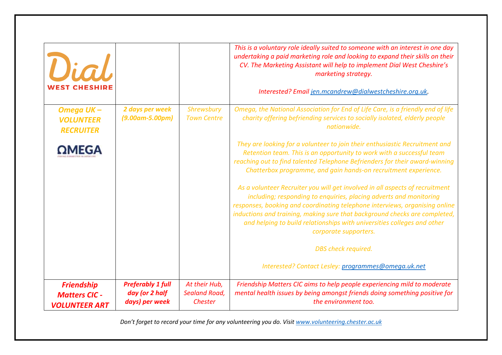| Vial                                                              |                                                              |                                                         | This is a voluntary role ideally suited to someone with an interest in one day<br>undertaking a paid marketing role and looking to expand their skills on their<br>CV. The Marketing Assistant will help to implement Dial West Cheshire's<br>marketing strategy.<br>Interested? Email jen.mcandrew@dialwestcheshire.org.uk.                                                                                                                                                                                                                                                                                                                                                                                                                                                                                |
|-------------------------------------------------------------------|--------------------------------------------------------------|---------------------------------------------------------|-------------------------------------------------------------------------------------------------------------------------------------------------------------------------------------------------------------------------------------------------------------------------------------------------------------------------------------------------------------------------------------------------------------------------------------------------------------------------------------------------------------------------------------------------------------------------------------------------------------------------------------------------------------------------------------------------------------------------------------------------------------------------------------------------------------|
| Omega UK-<br><b>VOLUNTEER</b><br><b>RECRUITER</b>                 | 2 days per week<br>$(9.00$ am-5.00pm)                        | Shrewsbury<br><b>Town Centre</b>                        | Omega, the National Association for End of Life Care, is a friendly end of life<br>charity offering befriending services to socially isolated, elderly people<br>nationwide.                                                                                                                                                                                                                                                                                                                                                                                                                                                                                                                                                                                                                                |
| MEGA                                                              |                                                              |                                                         | They are looking for a volunteer to join their enthusiastic Recruitment and<br>Retention team. This is an opportunity to work with a successful team<br>reaching out to find talented Telephone Befrienders for their award-winning<br>Chatterbox programme, and gain hands-on recruitment experience.<br>As a volunteer Recruiter you will get involved in all aspects of recruitment<br>including; responding to enquiries, placing adverts and monitoring<br>responses, booking and coordinating telephone interviews, organising online<br>inductions and training, making sure that background checks are completed,<br>and helping to build relationships with universities colleges and other<br>corporate supporters.<br>DBS check required.<br>Interested? Contact Lesley: programmes@omega.uk.net |
| <b>Friendship</b><br><b>Matters CIC -</b><br><b>VOLUNTEER ART</b> | <b>Preferably 1 full</b><br>day (or 2 half<br>days) per week | At their Hub,<br><b>Sealand Road,</b><br><b>Chester</b> | Friendship Matters CIC aims to help people experiencing mild to moderate<br>mental health issues by being amongst friends doing something positive for<br>the environment too.                                                                                                                                                                                                                                                                                                                                                                                                                                                                                                                                                                                                                              |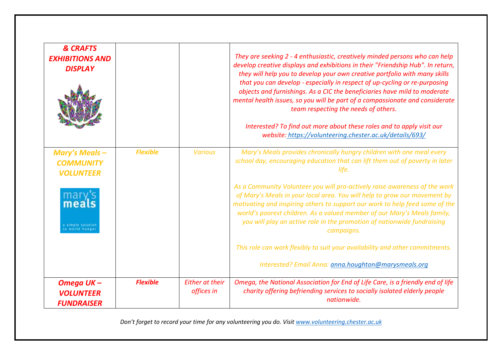| <b>&amp; CRAFTS</b><br><b>EXHIBITIONS AND</b><br><b>DISPLAY</b>                                                   |                 |                                      | They are seeking 2 - 4 enthusiastic, creatively minded persons who can help<br>develop creative displays and exhibitions in their "Friendship Hub". In return,<br>they will help you to develop your own creative portfolio with many skills<br>that you can develop - especially in respect of up-cycling or re-purposing<br>objects and furnishings. As a CIC the beneficiaries have mild to moderate<br>mental health issues, so you will be part of a compassionate and considerate<br>team respecting the needs of others.<br>Interested? To find out more about these roles and to apply visit our<br>website: https://volunteering.chester.ac.uk/details/693/ |
|-------------------------------------------------------------------------------------------------------------------|-----------------|--------------------------------------|----------------------------------------------------------------------------------------------------------------------------------------------------------------------------------------------------------------------------------------------------------------------------------------------------------------------------------------------------------------------------------------------------------------------------------------------------------------------------------------------------------------------------------------------------------------------------------------------------------------------------------------------------------------------|
| <b>Mary's Meals -</b><br><b>COMMUNITY</b><br><b>VOLUNTEER</b><br>mary<br>meals<br>simple solutio<br>  world hunge | <b>Flexible</b> | <b>Various</b>                       | Mary's Meals provides chronically hungry children with one meal every<br>school day, encouraging education that can lift them out of poverty in later<br>life.<br>As a Community Volunteer you will pro-actively raise awareness of the work<br>of Mary's Meals in your local area. You will help to grow our movement by<br>motivating and inspiring others to support our work to help feed some of the<br>world's poorest children. As a valued member of our Mary's Meals family,<br>you will play an active role in the promotion of nationwide fundraising<br>campaigns.<br>This role can work flexibly to suit your availability and other commitments.       |
| Omega UK-<br><b>VOLUNTEER</b><br><b>FUNDRAISER</b>                                                                | <b>Flexible</b> | <b>Either at their</b><br>offices in | Interested? Email Anna: anna.houghton@marysmeals.org<br>Omega, the National Association for End of Life Care, is a friendly end of life<br>charity offering befriending services to socially isolated elderly people<br>nationwide.                                                                                                                                                                                                                                                                                                                                                                                                                                  |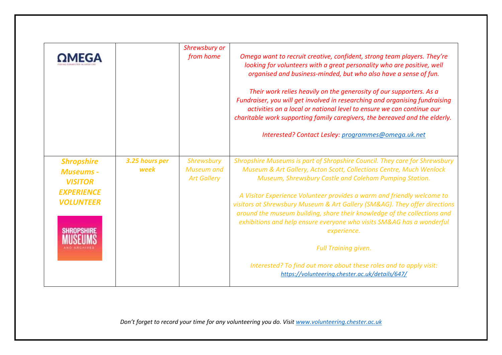|                                                                                                  |                        | Shrewsbury or<br>from home                            | Omega want to recruit creative, confident, strong team players. They're<br>looking for volunteers with a great personality who are positive, well<br>organised and business-minded, but who also have a sense of fun.<br>Their work relies heavily on the generosity of our supporters. As a<br>Fundraiser, you will get involved in researching and organising fundraising<br>activities on a local or national level to ensure we can continue our<br>charitable work supporting family caregivers, the bereaved and the elderly.<br>Interested? Contact Lesley: programmes@omega.uk.net                                                                                                      |
|--------------------------------------------------------------------------------------------------|------------------------|-------------------------------------------------------|-------------------------------------------------------------------------------------------------------------------------------------------------------------------------------------------------------------------------------------------------------------------------------------------------------------------------------------------------------------------------------------------------------------------------------------------------------------------------------------------------------------------------------------------------------------------------------------------------------------------------------------------------------------------------------------------------|
| <b>Shropshire</b><br><b>Museums -</b><br><b>VISITOR</b><br><b>EXPERIENCE</b><br><b>VOLUNTEER</b> | 3.25 hours per<br>week | Shrewsbury<br><b>Museum</b> and<br><b>Art Gallery</b> | Shropshire Museums is part of Shropshire Council. They care for Shrewsbury<br>Museum & Art Gallery, Acton Scott, Collections Centre, Much Wenlock<br>Museum, Shrewsbury Castle and Coleham Pumping Station.<br>A Visitor Experience Volunteer provides a warm and friendly welcome to<br>visitors at Shrewsbury Museum & Art Gallery (SM&AG). They offer directions<br>around the museum building, share their knowledge of the collections and<br>exhibitions and help ensure everyone who visits SM&AG has a wonderful<br>experience.<br><b>Full Training given.</b><br>Interested? To find out more about these roles and to apply visit:<br>https://volunteering.chester.ac.uk/details/647/ |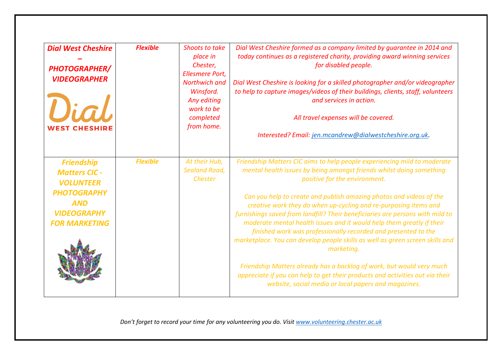| <b>Dial West Cheshire</b><br><b>PHOTOGRAPHER/</b><br><b>VIDEOGRAPHER</b><br>Vial<br><b>WEST CHESHIRE</b>                                        | <b>Flexible</b> | <b>Shoots to take</b><br>place in<br>Chester,<br><b>Ellesmere Port,</b><br>Northwich and<br>Winsford.<br>Any editing<br>work to be<br>completed<br>from home. | Dial West Cheshire formed as a company limited by quarantee in 2014 and<br>today continues as a registered charity, providing award winning services<br>for disabled people.<br>Dial West Cheshire is looking for a skilled photographer and/or videographer<br>to help to capture images/videos of their buildings, clients, staff, volunteers<br>and services in action.<br>All travel expenses will be covered.<br>Interested? Email: jen.mcandrew@dialwestcheshire.org.uk.                                                                                                                                                                                                                                                                                                                                                                                            |
|-------------------------------------------------------------------------------------------------------------------------------------------------|-----------------|---------------------------------------------------------------------------------------------------------------------------------------------------------------|---------------------------------------------------------------------------------------------------------------------------------------------------------------------------------------------------------------------------------------------------------------------------------------------------------------------------------------------------------------------------------------------------------------------------------------------------------------------------------------------------------------------------------------------------------------------------------------------------------------------------------------------------------------------------------------------------------------------------------------------------------------------------------------------------------------------------------------------------------------------------|
| <b>Friendship</b><br><b>Matters CIC -</b><br><b>VOLUNTEER</b><br><b>PHOTOGRAPHY</b><br><b>AND</b><br><b>VIDEOGRAPHY</b><br><b>FOR MARKETING</b> | <b>Flexible</b> | At their Hub,<br><b>Sealand Road,</b><br>Chester                                                                                                              | Friendship Matters CIC aims to help people experiencing mild to moderate<br>mental health issues by being amongst friends whilst doing something<br>positive for the environment.<br>Can you help to create and publish amazing photos and videos of the<br>creative work they do when up-cycling and re-purposing items and<br>furnishings saved from landfill? Their beneficiaries are persons with mild to<br>moderate mental health issues and it would help them greatly if their<br>finished work was professionally recorded and presented to the<br>marketplace. You can develop people skills as well as green screen skills and<br>marketing.<br>Friendship Matters already has a backlog of work, but would very much<br>appreciate if you can help to get their products and activities out via their<br>website, social media or local papers and magazines. |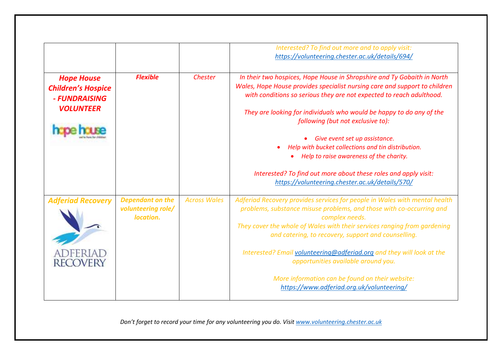|                                                                                     |                                                            |                     | Interested? To find out more and to apply visit:<br>https://volunteering.chester.ac.uk/details/694/                                                                                                                                                                                                                                                                                                                                                                                                                     |
|-------------------------------------------------------------------------------------|------------------------------------------------------------|---------------------|-------------------------------------------------------------------------------------------------------------------------------------------------------------------------------------------------------------------------------------------------------------------------------------------------------------------------------------------------------------------------------------------------------------------------------------------------------------------------------------------------------------------------|
| <b>Hope House</b><br><b>Children's Hospice</b><br>- FUNDRAISING<br><b>VOLUNTEER</b> | <b>Flexible</b>                                            | Chester             | In their two hospices, Hope House in Shropshire and Ty Gobaith in North<br>Wales, Hope House provides specialist nursing care and support to children<br>with conditions so serious they are not expected to reach adulthood.<br>They are looking for individuals who would be happy to do any of the                                                                                                                                                                                                                   |
|                                                                                     |                                                            |                     | following (but not exclusive to):<br>Give event set up assistance.<br>Help with bucket collections and tin distribution.<br>Help to raise awareness of the charity.<br>Interested? To find out more about these roles and apply visit:<br>https://volunteering.chester.ac.uk/details/570/                                                                                                                                                                                                                               |
| <b>Adferiad Recovery</b><br><b>RECOVERY</b>                                         | <b>Dependant on the</b><br>volunteering role/<br>location. | <b>Across Wales</b> | Adferiad Recovery provides services for people in Wales with mental health<br>problems, substance misuse problems, and those with co-occurring and<br>complex needs.<br>They cover the whole of Wales with their services ranging from gardening<br>and catering, to recovery, support and counselling.<br>Interested? Email volunteering@adferiad.org and they will look at the<br>opportunities available around you.<br>More information can be found on their website:<br>https://www.adferiad.org.uk/volunteering/ |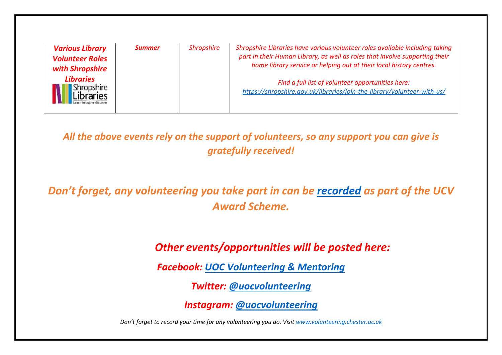|--|

*All the above events rely on the support of volunteers, so any support you can give is gratefully received!*

*Don't forget, any volunteering you take part in can be [recorded](https://volunteering.chester.ac.uk/) as part of the UCV Award Scheme.*

*Other events/opportunities will be posted here:*

*Facebook: [UOC Volunteering](https://www.facebook.com/UoCVolunteering/) & Mentoring*

*Twitter: [@uocvolunteering](https://twitter.com/uocvolunteering?lang=en)*

*Instagram: [@uocvolunteering](https://www.instagram.com/uocvolunteering/?hl=en)*